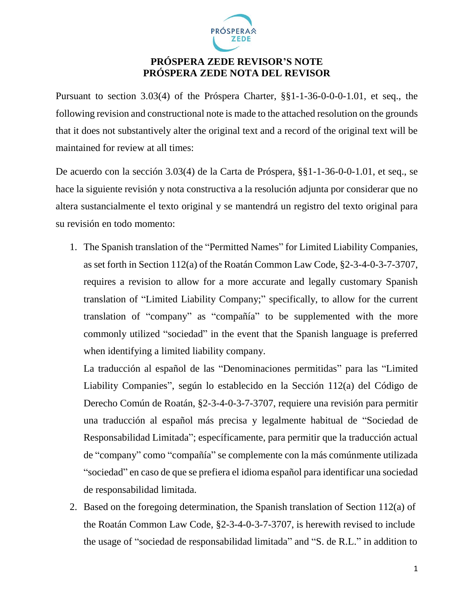

## **PRÓSPERA ZEDE REVISOR'S NOTE PRÓSPERA ZEDE NOTA DEL REVISOR**

Pursuant to section 3.03(4) of the Próspera Charter, §§1-1-36-0-0-0-1.01, et seq., the following revision and constructional note is made to the attached resolution on the grounds that it does not substantively alter the original text and a record of the original text will be maintained for review at all times:

De acuerdo con la sección 3.03(4) de la Carta de Próspera, §§1-1-36-0-0-1.01, et seq., se hace la siguiente revisión y nota constructiva a la resolución adjunta por considerar que no altera sustancialmente el texto original y se mantendrá un registro del texto original para su revisión en todo momento:

1. The Spanish translation of the "Permitted Names" for Limited Liability Companies, as set forth in Section 112(a) of the Roatán Common Law Code, §2-3-4-0-3-7-3707, requires a revision to allow for a more accurate and legally customary Spanish translation of "Limited Liability Company;" specifically, to allow for the current translation of "company" as "compañía" to be supplemented with the more commonly utilized "sociedad" in the event that the Spanish language is preferred when identifying a limited liability company.

La traducción al español de las "Denominaciones permitidas" para las "Limited Liability Companies", según lo establecido en la Sección 112(a) del Código de Derecho Común de Roatán, §2-3-4-0-3-7-3707, requiere una revisión para permitir una traducción al español más precisa y legalmente habitual de "Sociedad de Responsabilidad Limitada"; específicamente, para permitir que la traducción actual de "company" como "compañía" se complemente con la más comúnmente utilizada "sociedad" en caso de que se prefiera el idioma español para identificar una sociedad de responsabilidad limitada.

2. Based on the foregoing determination, the Spanish translation of Section 112(a) of the Roatán Common Law Code, §2-3-4-0-3-7-3707, is herewith revised to include the usage of "sociedad de responsabilidad limitada" and "S. de R.L." in addition to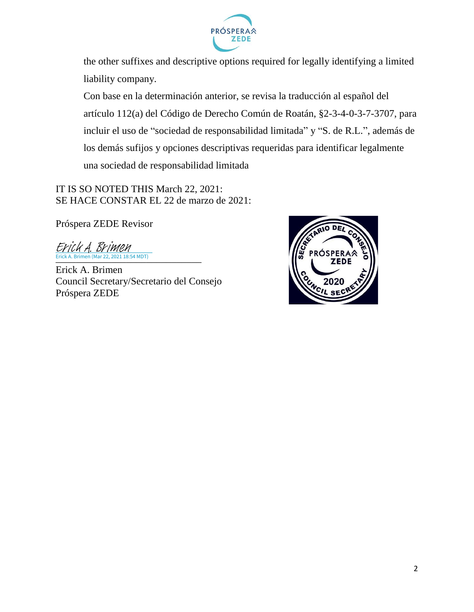

the other suffixes and descriptive options required for legally identifying a limited liability company.

Con base en la determinación anterior, se revisa la traducción al español del artículo 112(a) del Código de Derecho Común de Roatán, §2-3-4-0-3-7-3707, para incluir el uso de "sociedad de responsabilidad limitada" y "S. de R.L.", además de los demás sufijos y opciones descriptivas requeridas para identificar legalmente una sociedad de responsabilidad limitada

IT IS SO NOTED THIS March 22, 2021: SE HACE CONSTAR EL 22 de marzo de 2021:

Próspera ZEDE Revisor

[\\_\\_\\_\\_\\_\\_\\_\\_\\_\\_\\_\\_\\_\\_\\_\\_\\_\\_\\_\\_\\_\\_\\_\\_\\_\\_\\_\\_\\_](https://na3.documents.adobe.com/verifier?tx=CBJCHBCAABAAsppOvmf60V13WK8yxYhv5mzAvjdDZpuV) Erick A. Brimen (Mar 22, 2021 18:54 MDT) Erick A. Brimen

Erick A. Brimen Council Secretary/Secretario del Consejo Próspera ZEDE